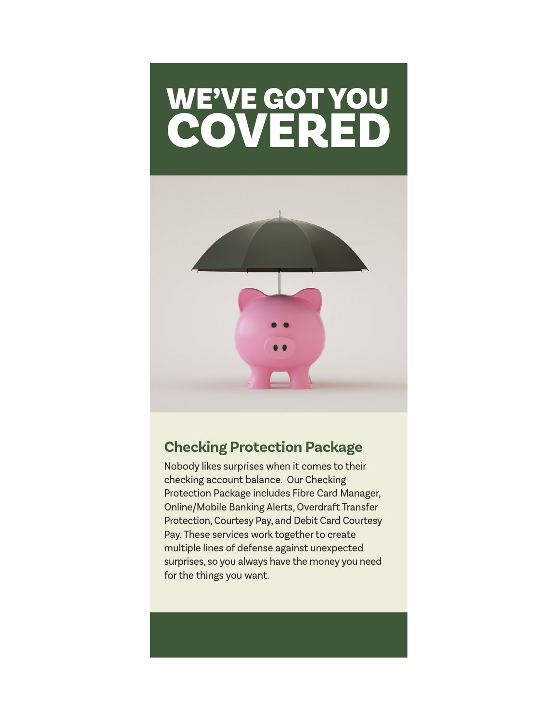# WE'VE GOT YOU COVERED



# **Checking Protection Package**

Nobody likes surprises when it comes to their checking account balance. Our Checking Protection Package includes Fibre Card Manager, Online/Mobile Banking Alerts, Overdraft Transfer Protection, Courtesy Pay, and Debit Card Courtesy Pay. These services work together to create multiple lines of defense against unexpected surprises, so you always have the money you need for the things you want.